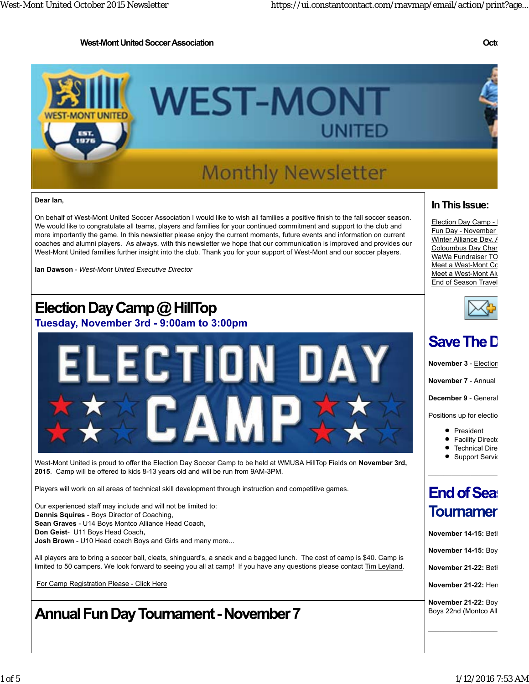### **West-Mont United Soccer Association Octo**



#### **Dear Ian,**

On behalf of West-Mont United Soccer Association I would like to wish all families a positive finish to the fall soccer season. We would like to congratulate all teams, players and families for your continued commitment and support to the club and more importantly the game. In this newsletter please enjoy the current moments, future events and information on current coaches and alumni players. As always, with this newsletter we hope that our communication is improved and provides our West-Mont United families further insight into the club. Thank you for your support of West-Mont and our soccer players.

**Ian Dawson** - *West-Mont United Executive Director*

## Election Day Camp  $@$  HillTop

**Tuesday, November 3rd - 9:00am to 3:00pm**



West-Mont United is proud to offer the Election Day Soccer Camp to be held at WMUSA HillTop Fields on **November 3rd, 2015**. Camp will be offered to kids 8-13 years old and will be run from 9AM-3PM.

Players will work on all areas of technical skill development through instruction and competitive games.

Our experienced staff may include and will not be limited to: **Dennis Squires** - Boys Director of Coaching, **Sean Graves** - U14 Boys Montco Alliance Head Coach, **Don Geist**- U11 Boys Head Coach**, Josh Brown** - U10 Head coach Boys and Girls and many more...

All players are to bring a soccer ball, cleats, shinguard's, a snack and a bagged lunch. The cost of camp is \$40. Camp is limited to 50 campers. We look forward to seeing you all at camp! If you have any questions please contact Tim Leyland.

For Camp Registration Please - Click Here

## **Annual Fun Day Tournament - November 7**

### **In This Issue:**

Election Day Camp -Fun Day - November Winter Alliance Dev. / Coloumbus Day Char WaWa Fundraiser TO Meet a West-Mont Co Meet a West-Mont Alu End of Season Travel



## **Save The D**

**November 3** - Election

**November 7** - Annual

**December 9** - General

Positions up for electio

• President

 $\_$ 

- **•** Facility Directo
- **•** Technical Dire
- **•** Support Servic

## **End of Sea: Toumamer**

**November 14-15:** Beth

**November 14-15:** Boy

**November 21-22:** Beth

**November 21-22:** Hem

**November 21-22:** Boy Boys 22nd (Montco All

 $\mathcal{L}_\text{max}$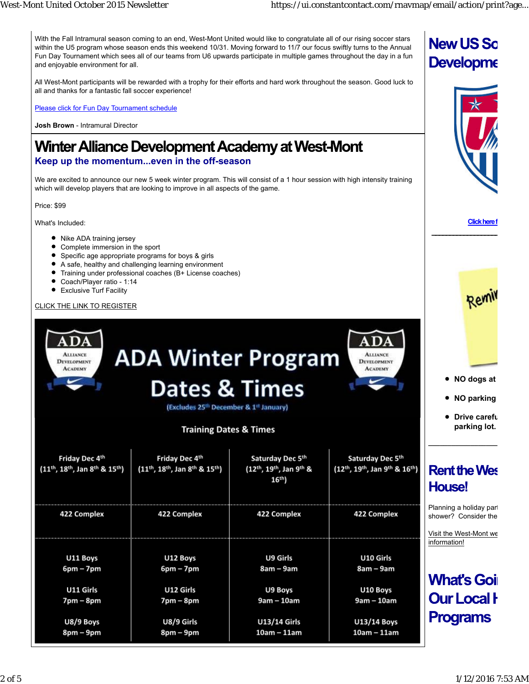With the Fall Intramural season coming to an end, West-Mont United would like to congratulate all of our rising soccer stars within the U5 program whose season ends this weekend 10/31. Moving forward to 11/7 our focus swiftly turns to the Annual Fun Day Tournament which sees all of our teams from U6 upwards participate in multiple games throughout the day in a fun and enjoyable environment for all.

All West-Mont participants will be rewarded with a trophy for their efforts and hard work throughout the season. Good luck to all and thanks for a fantastic fall soccer experience!

Please click for Fun Day Tournament schedule

**Josh Brown** - Intramural Director

## **Winter Alliance Development Academy at West-Mont**

### **Keep up the momentum...even in the off-season**

We are excited to announce our new 5 week winter program. This will consist of a 1 hour session with high intensity training which will develop players that are looking to improve in all aspects of the game.

Price: \$99

What's Included:

- Nike ADA training jersey
- Complete immersion in the sport
- Specific age appropriate programs for boys & girls
- $\bullet$ A safe, healthy and challenging learning environment
- Training under professional coaches (B+ License coaches)
- Coach/Player ratio 1:14
- Exclusive Turf Facility

### CLICK THE LINK TO REGISTER

| ADA<br>$\bf{ADA}$<br><b>ADA Winter Program</b><br><b>ALLIANCE</b><br><b>ALLIANCE</b><br><b>DEVELOPMENT</b><br><b>DEVELOPMENT</b><br><b>ACADEMY</b><br><b>ACADEMY</b><br><b>Dates &amp; Times</b><br>(Excludes 25 <sup>th</sup> December & 1 <sup>st</sup> January)<br><b>Training Dates &amp; Times</b> |                                                                   |                                                         |                                                   | NO dogs at<br>• NO parking<br>Drive carefu<br>parking lot.                                |
|---------------------------------------------------------------------------------------------------------------------------------------------------------------------------------------------------------------------------------------------------------------------------------------------------------|-------------------------------------------------------------------|---------------------------------------------------------|---------------------------------------------------|-------------------------------------------------------------------------------------------|
| Friday Dec 4th<br>$(11^{th}, 18^{th},$ Jan $8^{th}$ & $15^{th}$ )                                                                                                                                                                                                                                       | Friday Dec 4th<br>$(11^{th}, 18^{th},$ Jan $8^{th}$ & $15^{th}$ ) | Saturday Dec 5th<br>(12th, 19th, Jan 9th &<br>$16^{th}$ | Saturday Dec 5th<br>(12th, 19th, Jan 9th & 16th)  | <b>Rent the Wes</b><br><b>House!</b>                                                      |
| 422 Complex                                                                                                                                                                                                                                                                                             | 422 Complex                                                       | 422 Complex                                             | 422 Complex                                       | Planning a holiday parl<br>shower? Consider the<br>Visit the West-Mont we<br>information! |
| U11 Boys<br>$6pm - 7pm$<br>U11 Girls                                                                                                                                                                                                                                                                    | U12 Boys<br>$6pm - 7pm$<br>U12 Girls                              | U9 Girls<br>8am – 9am<br>U9 Boys                        | U10 Girls<br>8am – 9am<br>U10 Boys                | <b>What's Goi</b> l                                                                       |
| $7pm - 8pm$<br>U8/9 Boys<br>8pm – 9pm                                                                                                                                                                                                                                                                   | $7pm - 8pm$<br>U8/9 Girls<br>$8pm-9pm$                            | $9am - 10am$<br><b>U13/14 Girls</b><br>$10am - 11am$    | 9am - 10am<br><b>U13/14 Boys</b><br>$10am - 11am$ | <b>Our Local H</b><br><b>Programs</b>                                                     |

**Click here f**

Remi

 **\_\_\_\_\_\_\_\_\_\_\_\_\_\_\_\_\_\_\_**

**New US So** 

**Developme**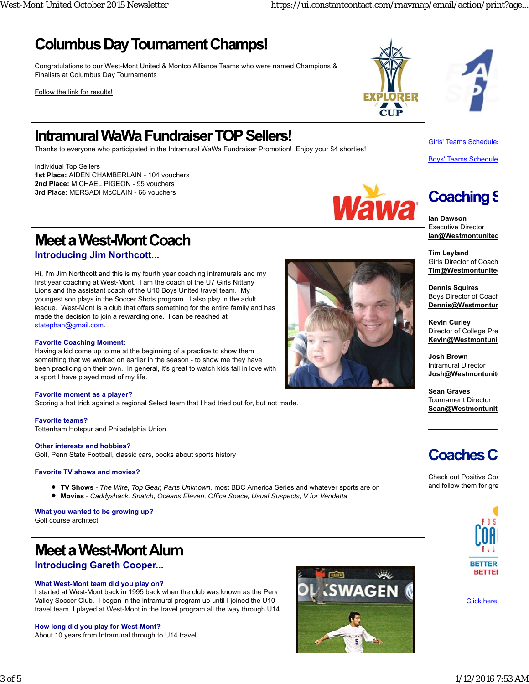## **Columbus Day Tournament Champs!**

Congratulations to our West-Mont United & Montco Alliance Teams who were named Champions & Finalists at Columbus Day Tournaments

Follow the link for results!

## **Intramural WaWa Fundraiser TOP Sellers!**

Thanks to everyone who participated in the Intramural WaWa Fundraiser Promotion! Enjoy your \$4 shorties!

Individual Top Sellers **1st Place:** AIDEN CHAMBERLAIN - 104 vouchers **2nd Place:** MICHAEL PIGEON - 95 vouchers **3rd Place**: MERSADI McCLAIN - 66 vouchers



Boys' Teams Schedule

Girls' Teams Schedule

## **Coaching S**

 $\_$ 

**Ian Dawson** Executive Director **Ian@Westmontunited**

**Tim Leyland** Girls Director of Coach **Tim@Westmontunite** 

**Dennis Squires** Boys Director of Coach **Dennis@Westmontun**

**Kevin Curley** Director of College Pre **Kevin@Westmontuni**

**Josh Brown** Intramural Director **Josh@Westmontunite**

**Sean Graves** Tournament Director **Sean@Westmontunit**

 $\mathcal{L}_\text{max}$ 

## **Coaches C**

Check out Positive Coa and follow them for gre



Click here

# **Meet a West-Mont Coach**

**Introducing Jim Northcott...**

Hi, I'm Jim Northcott and this is my fourth year coaching intramurals and my first year coaching at West-Mont. I am the coach of the U7 Girls Nittany Lions and the assistant coach of the U10 Boys United travel team. My youngest son plays in the Soccer Shots program. I also play in the adult league. West-Mont is a club that offers something for the entire family and has made the decision to join a rewarding one. I can be reached at statephan@gmail.com.

### **Favorite Coaching Moment:**

Having a kid come up to me at the beginning of a practice to show them something that we worked on earlier in the season - to show me they have been practicing on their own. In general, it's great to watch kids fall in love with a sport I have played most of my life.

### **Favorite moment as a player?**

Scoring a hat trick against a regional Select team that I had tried out for, but not made.

**Favorite teams?** Tottenham Hotspur and Philadelphia Union

**Other interests and hobbies?**

Golf, Penn State Football, classic cars, books about sports history

### **Favorite TV shows and movies?**

- **TV Shows** *The Wire, Top Gear, Parts Unknown,* most BBC America Series and whatever sports are on
- **Movies** *Caddyshack, Snatch, Oceans Eleven, Office Space, Usual Suspects, V for Vendetta*

**What you wanted to be growing up?** Golf course architect

## **Meet a West-Mont Alum**

## **Introducing Gareth Cooper...**

### **What West-Mont team did you play on?**

I started at West-Mont back in 1995 back when the club was known as the Perk Valley Soccer Club. I began in the intramural program up until I joined the U10 travel team. I played at West-Mont in the travel program all the way through U14.

### **How long did you play for West-Mont?**

About 10 years from Intramural through to U14 travel.





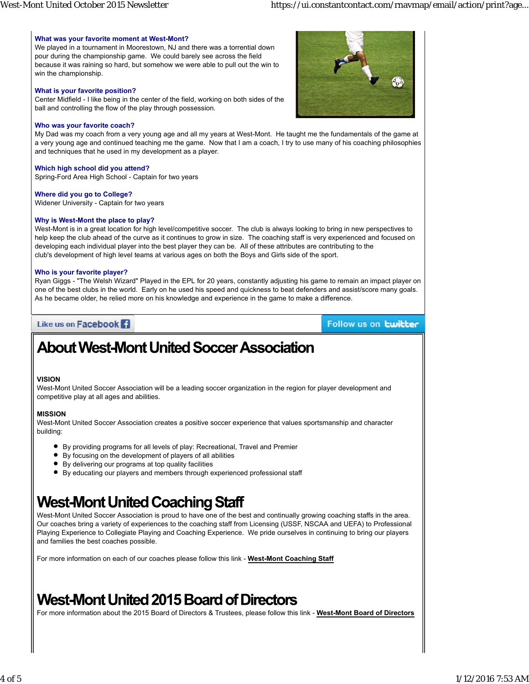### **What was your favorite moment at West-Mont?**

We played in a tournament in Moorestown, NJ and there was a torrential down pour during the championship game. We could barely see across the field because it was raining so hard, but somehow we were able to pull out the win to win the championship.

#### **What is your favorite position?**

Center Midfield - I like being in the center of the field, working on both sides of the ball and controlling the flow of the play through possession.

#### **Who was your favorite coach?**

My Dad was my coach from a very young age and all my years at West-Mont. He taught me the fundamentals of the game at a very young age and continued teaching me the game. Now that I am a coach, I try to use many of his coaching philosophies and techniques that he used in my development as a player.

### **Which high school did you attend?**

Spring-Ford Area High School - Captain for two years

#### **Where did you go to College?**

Widener University - Captain for two years

#### **Why is West-Mont the place to play?**

West-Mont is in a great location for high level/competitive soccer. The club is always looking to bring in new perspectives to help keep the club ahead of the curve as it continues to grow in size. The coaching staff is very experienced and focused on developing each individual player into the best player they can be. All of these attributes are contributing to the club's development of high level teams at various ages on both the Boys and Girls side of the sport.

### **Who is your favorite player?**

Ryan Giggs - "The Welsh Wizard" Played in the EPL for 20 years, constantly adjusting his game to remain an impact player on one of the best clubs in the world. Early on he used his speed and quickness to beat defenders and assist/score many goals. As he became older, he relied more on his knowledge and experience in the game to make a difference.

### Like us on Facebook<sup>1</sup>

Follow us on **twitter** 

## **About West-Mont United Soccer Association**

### **VISION**

West-Mont United Soccer Association will be a leading soccer organization in the region for player development and competitive play at all ages and abilities.

### **MISSION**

West-Mont United Soccer Association creates a positive soccer experience that values sportsmanship and character building:

- By providing programs for all levels of play: Recreational, Travel and Premier
- By focusing on the development of players of all abilities
- By delivering our programs at top quality facilities
- By educating our players and members through experienced professional staff

## **West-Mont United Coaching Staff**

West-Mont United Soccer Association is proud to have one of the best and continually growing coaching staffs in the area. Our coaches bring a variety of experiences to the coaching staff from Licensing (USSF, NSCAA and UEFA) to Professional Playing Experience to Collegiate Playing and Coaching Experience. We pride ourselves in continuing to bring our players and families the best coaches possible.

For more information on each of our coaches please follow this link - **West-Mont Coaching Staff**

## **West-Mont United 2015 Board of Directors**

For more information about the 2015 Board of Directors & Trustees, please follow this link - **West-Mont Board of Directors**